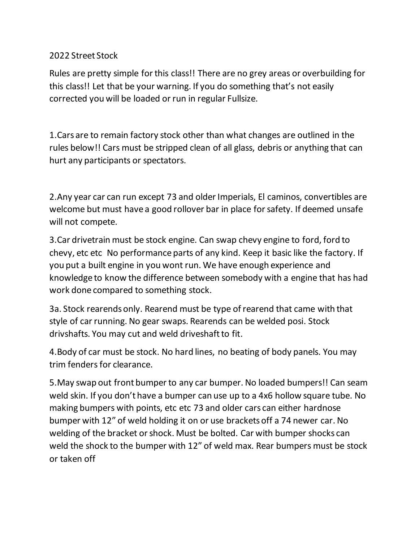## 2022 Street Stock

Rules are pretty simple for this class!! There are no grey areas or overbuilding for this class!! Let that be your warning. If you do something that's not easily corrected you will be loaded or run in regular Fullsize.

1.Cars are to remain factory stock other than what changes are outlined in the rules below!! Cars must be stripped clean of all glass, debris or anything that can hurt any participants or spectators.

2.Any year car can run except 73 and older Imperials, El caminos, convertibles are welcome but must have a good rollover bar in place for safety. If deemed unsafe will not compete.

3.Car drivetrain must be stock engine. Can swap chevy engine to ford, ford to chevy, etc etc No performance parts of any kind. Keep it basic like the factory. If you put a built engine in you wont run. We have enough experience and knowledge to know the difference between somebody with a engine that has had work done compared to something stock.

3a. Stock rearends only. Rearend must be type of rearend that came with that style of car running. No gear swaps. Rearends can be welded posi. Stock drivshafts. You may cut and weld driveshaft to fit.

4.Body of car must be stock. No hard lines, no beating of body panels. You may trim fenders for clearance.

5.May swap out front bumper to any car bumper. No loaded bumpers!! Can seam weld skin. If you don't have a bumper can use up to a 4x6 hollow square tube. No making bumpers with points, etc etc 73 and older cars can either hardnose bumper with 12" of weld holding it on or use brackets off a 74 newer car. No welding of the bracket or shock. Must be bolted. Car with bumper shocks can weld the shock to the bumper with 12" of weld max. Rear bumpers must be stock or taken off